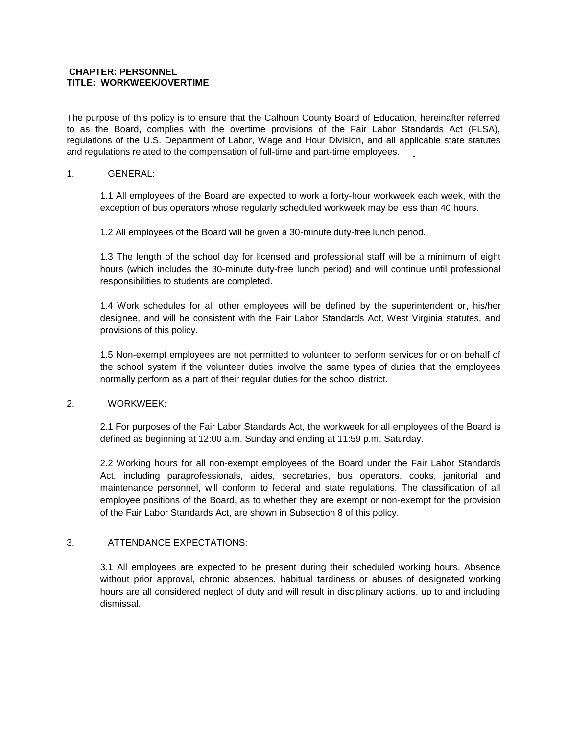#### **CHAPTER: PERSONNEL TITLE: WORKWEEK/OVERTIME**

The purpose of this policy is to ensure that the Calhoun County Board of Education, hereinafter referred to as the Board, complies with the overtime provisions of the Fair Labor Standards Act (FLSA), regulations of the U.S. Department of Labor, Wage and Hour Division, and all applicable state statutes and regulations related to the compensation of full-time and part-time employees.

### 1. GENERAL:

1.1 All employees of the Board are expected to work a forty-hour workweek each week, with the exception of bus operators whose regularly scheduled workweek may be less than 40 hours.

1.2 All employees of the Board will be given a 30-minute duty-free lunch period.

1.3 The length of the school day for licensed and professional staff will be a minimum of eight hours (which includes the 30-minute duty-free lunch period) and will continue until professional responsibilities to students are completed.

1.4 Work schedules for all other employees will be defined by the superintendent or, his/her designee, and will be consistent with the Fair Labor Standards Act, West Virginia statutes, and provisions of this policy.

1.5 Non-exempt employees are not permitted to volunteer to perform services for or on behalf of the school system if the volunteer duties involve the same types of duties that the employees normally perform as a part of their regular duties for the school district.

## 2. WORKWEEK:

2.1 For purposes of the Fair Labor Standards Act, the workweek for all employees of the Board is defined as beginning at 12:00 a.m. Sunday and ending at 11:59 p.m. Saturday.

2.2 Working hours for all non-exempt employees of the Board under the Fair Labor Standards Act, including paraprofessionals, aides, secretaries, bus operators, cooks, janitorial and maintenance personnel, will conform to federal and state regulations. The classification of all employee positions of the Board, as to whether they are exempt or non-exempt for the provision of the Fair Labor Standards Act, are shown in Subsection 8 of this policy.

# 3. ATTENDANCE EXPECTATIONS:

3.1 All employees are expected to be present during their scheduled working hours. Absence without prior approval, chronic absences, habitual tardiness or abuses of designated working hours are all considered neglect of duty and will result in disciplinary actions, up to and including dismissal.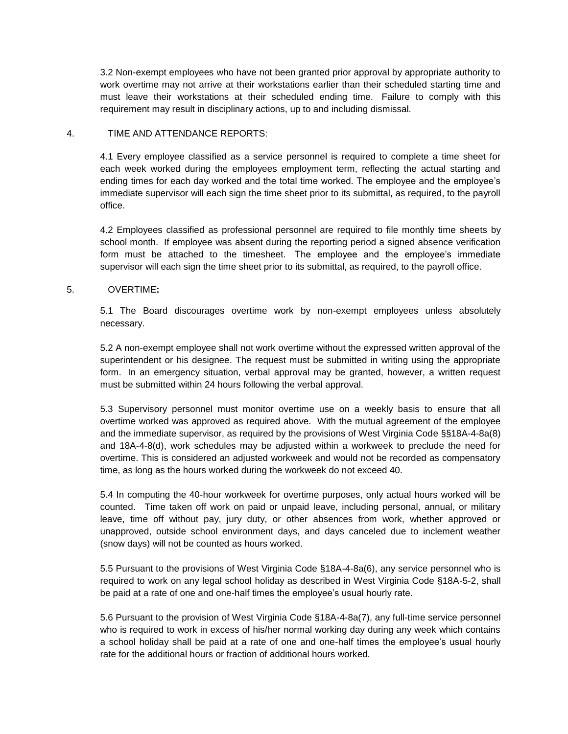3.2 Non-exempt employees who have not been granted prior approval by appropriate authority to work overtime may not arrive at their workstations earlier than their scheduled starting time and must leave their workstations at their scheduled ending time. Failure to comply with this requirement may result in disciplinary actions, up to and including dismissal.

### 4. TIME AND ATTENDANCE REPORTS:

4.1 Every employee classified as a service personnel is required to complete a time sheet for each week worked during the employees employment term, reflecting the actual starting and ending times for each day worked and the total time worked. The employee and the employee's immediate supervisor will each sign the time sheet prior to its submittal, as required, to the payroll office.

4.2 Employees classified as professional personnel are required to file monthly time sheets by school month. If employee was absent during the reporting period a signed absence verification form must be attached to the timesheet. The employee and the employee's immediate supervisor will each sign the time sheet prior to its submittal, as required, to the payroll office.

### 5. OVERTIME**:**

5.1 The Board discourages overtime work by non-exempt employees unless absolutely necessary.

5.2 A non-exempt employee shall not work overtime without the expressed written approval of the superintendent or his designee. The request must be submitted in writing using the appropriate form. In an emergency situation, verbal approval may be granted, however, a written request must be submitted within 24 hours following the verbal approval.

5.3 Supervisory personnel must monitor overtime use on a weekly basis to ensure that all overtime worked was approved as required above. With the mutual agreement of the employee and the immediate supervisor, as required by the provisions of West Virginia Code §§18A-4-8a(8) and 18A-4-8(d), work schedules may be adjusted within a workweek to preclude the need for overtime. This is considered an adjusted workweek and would not be recorded as compensatory time, as long as the hours worked during the workweek do not exceed 40.

5.4 In computing the 40-hour workweek for overtime purposes, only actual hours worked will be counted. Time taken off work on paid or unpaid leave, including personal, annual, or military leave, time off without pay, jury duty, or other absences from work, whether approved or unapproved, outside school environment days, and days canceled due to inclement weather (snow days) will not be counted as hours worked.

5.5 Pursuant to the provisions of West Virginia Code §18A-4-8a(6), any service personnel who is required to work on any legal school holiday as described in West Virginia Code §18A-5-2, shall be paid at a rate of one and one-half times the employee's usual hourly rate.

5.6 Pursuant to the provision of West Virginia Code §18A-4-8a(7), any full-time service personnel who is required to work in excess of his/her normal working day during any week which contains a school holiday shall be paid at a rate of one and one-half times the employee's usual hourly rate for the additional hours or fraction of additional hours worked.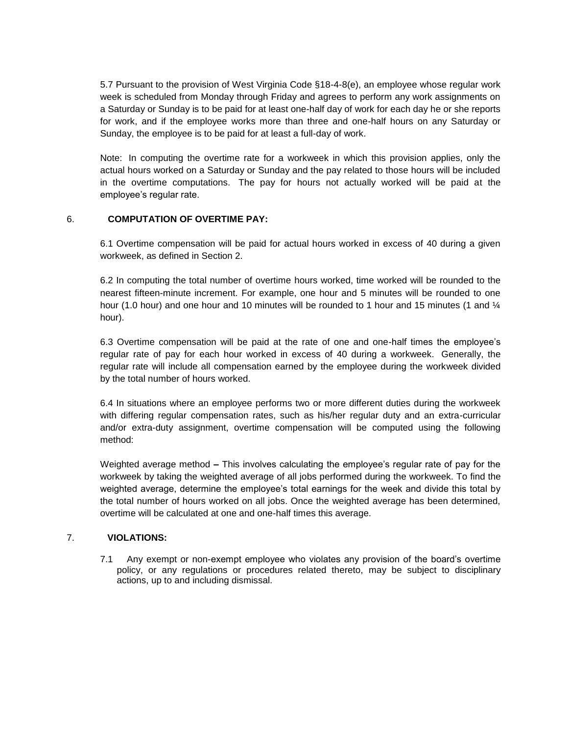5.7 Pursuant to the provision of West Virginia Code §18-4-8(e), an employee whose regular work week is scheduled from Monday through Friday and agrees to perform any work assignments on a Saturday or Sunday is to be paid for at least one-half day of work for each day he or she reports for work, and if the employee works more than three and one-half hours on any Saturday or Sunday, the employee is to be paid for at least a full-day of work.

Note: In computing the overtime rate for a workweek in which this provision applies, only the actual hours worked on a Saturday or Sunday and the pay related to those hours will be included in the overtime computations. The pay for hours not actually worked will be paid at the employee's regular rate.

## 6. **COMPUTATION OF OVERTIME PAY:**

6.1 Overtime compensation will be paid for actual hours worked in excess of 40 during a given workweek, as defined in Section 2.

6.2 In computing the total number of overtime hours worked, time worked will be rounded to the nearest fifteen-minute increment. For example, one hour and 5 minutes will be rounded to one hour (1.0 hour) and one hour and 10 minutes will be rounded to 1 hour and 15 minutes (1 and  $\frac{1}{4}$ hour).

6.3 Overtime compensation will be paid at the rate of one and one-half times the employee's regular rate of pay for each hour worked in excess of 40 during a workweek. Generally, the regular rate will include all compensation earned by the employee during the workweek divided by the total number of hours worked.

6.4 In situations where an employee performs two or more different duties during the workweek with differing regular compensation rates, such as his/her regular duty and an extra-curricular and/or extra-duty assignment, overtime compensation will be computed using the following method:

Weighted average method **–** This involves calculating the employee's regular rate of pay for the workweek by taking the weighted average of all jobs performed during the workweek. To find the weighted average, determine the employee's total earnings for the week and divide this total by the total number of hours worked on all jobs. Once the weighted average has been determined, overtime will be calculated at one and one-half times this average.

# 7. **VIOLATIONS:**

7.1 Any exempt or non-exempt employee who violates any provision of the board's overtime policy, or any regulations or procedures related thereto, may be subject to disciplinary actions, up to and including dismissal.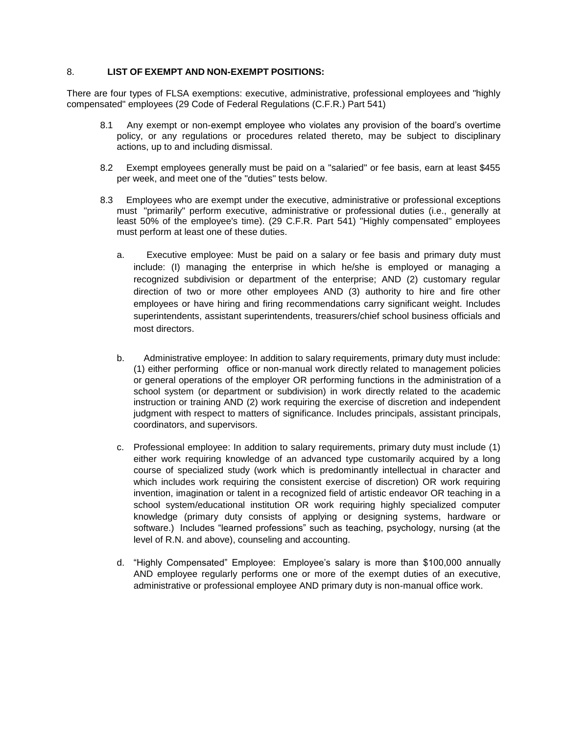### 8. **LIST OF EXEMPT AND NON-EXEMPT POSITIONS:**

There are four types of FLSA exemptions: executive, administrative, professional employees and "highly compensated" employees (29 Code of Federal Regulations (C.F.R.) Part 541)

- 8.1 Any exempt or non-exempt employee who violates any provision of the board's overtime policy, or any regulations or procedures related thereto, may be subject to disciplinary actions, up to and including dismissal.
- 8.2 Exempt employees generally must be paid on a "salaried" or fee basis, earn at least \$455 per week, and meet one of the "duties" tests below.
- 8.3 Employees who are exempt under the executive, administrative or professional exceptions must "primarily" perform executive, administrative or professional duties (i.e., generally at least 50% of the employee's time). (29 C.F.R. Part 541) "Highly compensated" employees must perform at least one of these duties.
	- a. Executive employee: Must be paid on a salary or fee basis and primary duty must include: (I) managing the enterprise in which he/she is employed or managing a recognized subdivision or department of the enterprise; AND (2) customary regular direction of two or more other employees AND (3) authority to hire and fire other employees or have hiring and firing recommendations carry significant weight. Includes superintendents, assistant superintendents, treasurers/chief school business officials and most directors.
	- b. Administrative employee: In addition to salary requirements, primary duty must include: (1) either performing office or non-manual work directly related to management policies or general operations of the employer OR performing functions in the administration of a school system (or department or subdivision) in work directly related to the academic instruction or training AND (2) work requiring the exercise of discretion and independent judgment with respect to matters of significance. Includes principals, assistant principals, coordinators, and supervisors.
	- c. Professional employee: In addition to salary requirements, primary duty must include (1) either work requiring knowledge of an advanced type customarily acquired by a long course of specialized study (work which is predominantly intellectual in character and which includes work requiring the consistent exercise of discretion) OR work requiring invention, imagination or talent in a recognized field of artistic endeavor OR teaching in a school system/educational institution OR work requiring highly specialized computer knowledge (primary duty consists of applying or designing systems, hardware or software.) Includes "learned professions" such as teaching, psychology, nursing (at the level of R.N. and above), counseling and accounting.
	- d. "Highly Compensated" Employee: Employee's salary is more than \$100,000 annually AND employee regularly performs one or more of the exempt duties of an executive, administrative or professional employee AND primary duty is non-manual office work.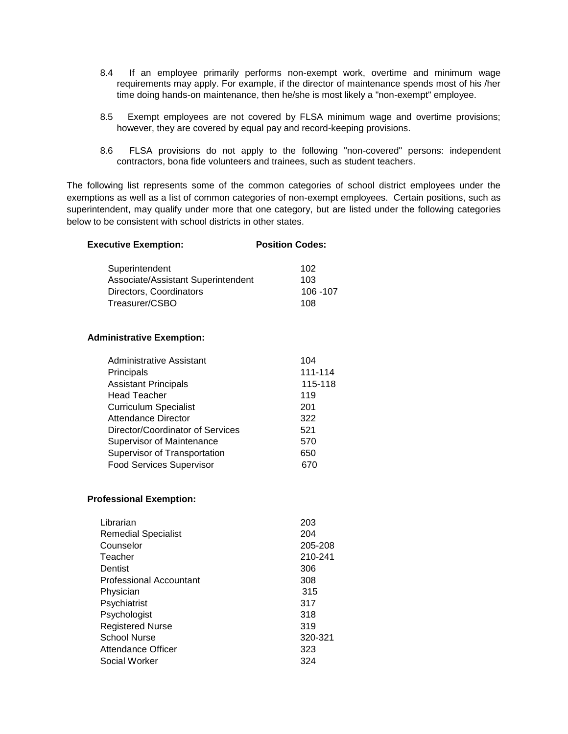- 8.4 If an employee primarily performs non-exempt work, overtime and minimum wage requirements may apply. For example, if the director of maintenance spends most of his /her time doing hands-on maintenance, then he/she is most likely a "non-exempt" employee.
- 8.5 Exempt employees are not covered by FLSA minimum wage and overtime provisions; however, they are covered by equal pay and record-keeping provisions.
- 8.6 FLSA provisions do not apply to the following "non-covered" persons: independent contractors, bona fide volunteers and trainees, such as student teachers.

The following list represents some of the common categories of school district employees under the exemptions as well as a list of common categories of non-exempt employees. Certain positions, such as superintendent, may qualify under more that one category, but are listed under the following categories below to be consistent with school districts in other states.

| <b>Executive Exemption:</b>                                                                       | <b>Position Codes:</b>         |
|---------------------------------------------------------------------------------------------------|--------------------------------|
| Superintendent<br>Associate/Assistant Superintendent<br>Directors, Coordinators<br>Treasurer/CSBO | 102<br>103<br>106 - 107<br>108 |
| <b>Administrative Exemption:</b>                                                                  |                                |
| Administrative Assistant                                                                          | 104                            |
| Principals                                                                                        | 111-114                        |
| Assistant Principals                                                                              | 115-118                        |
| Head Teacher                                                                                      | 119                            |
| <b>Curriculum Specialist</b>                                                                      | 201                            |
| <b>Attendance Director</b>                                                                        | 322                            |
| Director/Coordinator of Services                                                                  | 521                            |
| Supervisor of Maintenance                                                                         | 570                            |
| Supervisor of Transportation                                                                      | 650                            |
| <b>Food Services Supervisor</b>                                                                   | 670                            |

#### **Professional Exemption:**

| Librarian                      | 203     |
|--------------------------------|---------|
| <b>Remedial Specialist</b>     | 204     |
| Counselor                      | 205-208 |
| Teacher                        | 210-241 |
| Dentist                        | 306     |
| <b>Professional Accountant</b> | 308     |
| Physician                      | 315     |
| Psychiatrist                   | 317     |
| Psychologist                   | 318     |
| <b>Registered Nurse</b>        | 319     |
| <b>School Nurse</b>            | 320-321 |
| Attendance Officer             | 323     |
| Social Worker                  | 324     |